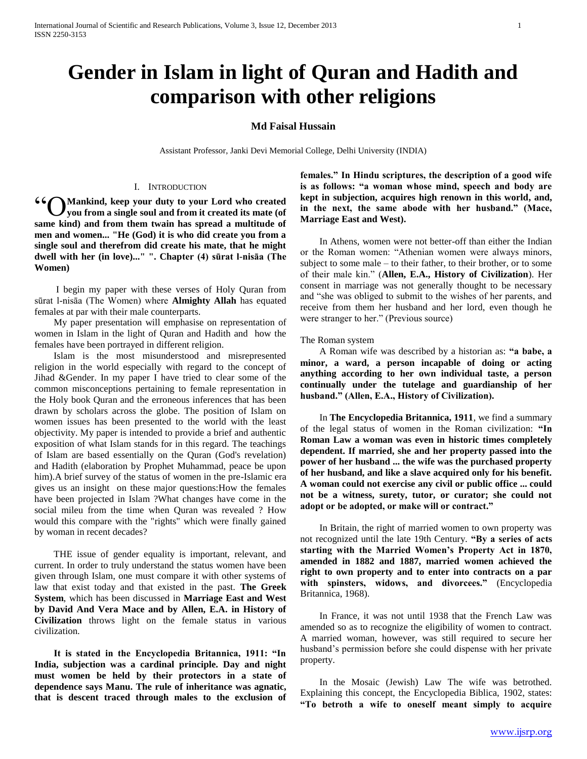# **Gender in Islam in light of Quran and Hadith and comparison with other religions**

## **Md Faisal Hussain**

Assistant Professor, Janki Devi Memorial College, Delhi University (INDIA)

## I. INTRODUCTION

**Mankind, keep your duty to your Lord who created you from a single soul and from it created its mate (of s** Comparently Commandon, keep your duty to your Lord who created you from a single soul and from it created its mate (of same kind) and from them twain has spread a multitude of **men and women... "He (God) it is who did create you from a single soul and therefrom did create his mate, that he might dwell with her (in love)..." ". Chapter (4) sūrat l-nisāa (The Women)**

 I begin my paper with these verses of Holy Quran from sūrat l-nisāa (The Women) where **Almighty Allah** has equated females at par with their male counterparts.

 My paper presentation will emphasise on representation of women in Islam in the light of Quran and Hadith and how the females have been portrayed in different religion.

 Islam is the most misunderstood and misrepresented religion in the world especially with regard to the concept of Jihad &Gender. In my paper I have tried to clear some of the common misconceptions pertaining to female representation in the Holy book Quran and the erroneous inferences that has been drawn by scholars across the globe. The position of Islam on women issues has been presented to the world with the least objectivity. My paper is intended to provide a brief and authentic exposition of what Islam stands for in this regard. The teachings of Islam are based essentially on the Quran (God's revelation) and Hadith (elaboration by Prophet Muhammad, peace be upon him).A brief survey of the status of women in the pre-Islamic era gives us an insight on these major questions:How the females have been projected in Islam ?What changes have come in the social mileu from the time when Quran was revealed ? How would this compare with the "rights" which were finally gained by woman in recent decades?

 THE issue of gender equality is important, relevant, and current. In order to truly understand the status women have been given through Islam, one must compare it with other systems of law that exist today and that existed in the past. **The Greek System**, which has been discussed in **Marriage East and West by David And Vera Mace and by Allen, E.A. in History of Civilization** throws light on the female status in various civilization.

 **It is stated in the Encyclopedia Britannica, 1911: "In India, subjection was a cardinal principle. Day and night must women be held by their protectors in a state of dependence says Manu. The rule of inheritance was agnatic, that is descent traced through males to the exclusion of**  **females." In Hindu scriptures, the description of a good wife is as follows: "a woman whose mind, speech and body are kept in subjection, acquires high renown in this world, and, in the next, the same abode with her husband." (Mace, Marriage East and West).**

 In Athens, women were not better-off than either the Indian or the Roman women: "Athenian women were always minors, subject to some male – to their father, to their brother, or to some of their male kin." (**Allen, E.A., History of Civilization**). Her consent in marriage was not generally thought to be necessary and "she was obliged to submit to the wishes of her parents, and receive from them her husband and her lord, even though he were stranger to her." (Previous source)

#### The Roman system

 A Roman wife was described by a historian as: **"a babe, a minor, a ward, a person incapable of doing or acting anything according to her own individual taste, a person continually under the tutelage and guardianship of her husband." (Allen, E.A., History of Civilization).**

 In **The Encyclopedia Britannica, 1911**, we find a summary of the legal status of women in the Roman civilization: **"In Roman Law a woman was even in historic times completely dependent. If married, she and her property passed into the power of her husband ... the wife was the purchased property of her husband, and like a slave acquired only for his benefit. A woman could not exercise any civil or public office ... could not be a witness, surety, tutor, or curator; she could not adopt or be adopted, or make will or contract."**

 In Britain, the right of married women to own property was not recognized until the late 19th Century. **"By a series of acts starting with the Married Women's Property Act in 1870, amended in 1882 and 1887, married women achieved the right to own property and to enter into contracts on a par with spinsters, widows, and divorcees."** (Encyclopedia Britannica, 1968).

 In France, it was not until 1938 that the French Law was amended so as to recognize the eligibility of women to contract. A married woman, however, was still required to secure her husband's permission before she could dispense with her private property.

 In the Mosaic (Jewish) Law The wife was betrothed. Explaining this concept, the Encyclopedia Biblica, 1902, states: **"To betroth a wife to oneself meant simply to acquire**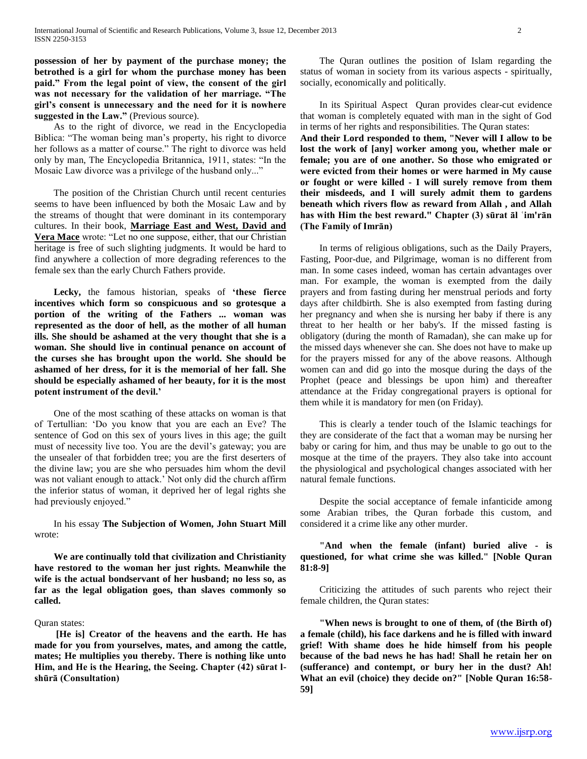**possession of her by payment of the purchase money; the betrothed is a girl for whom the purchase money has been paid." From the legal point of view, the consent of the girl was not necessary for the validation of her marriage. "The girl's consent is unnecessary and the need for it is nowhere suggested in the Law."** (Previous source).

 As to the right of divorce, we read in the Encyclopedia Biblica: "The woman being man's property, his right to divorce her follows as a matter of course." The right to divorce was held only by man, The Encyclopedia Britannica, 1911, states: "In the Mosaic Law divorce was a privilege of the husband only..."

 The position of the Christian Church until recent centuries seems to have been influenced by both the Mosaic Law and by the streams of thought that were dominant in its contemporary cultures. In their book, **Marriage East and West, David and Vera Mace** wrote: "Let no one suppose, either, that our Christian heritage is free of such slighting judgments. It would be hard to find anywhere a collection of more degrading references to the female sex than the early Church Fathers provide.

 **Lecky,** the famous historian, speaks of **'these fierce incentives which form so conspicuous and so grotesque a portion of the writing of the Fathers ... woman was represented as the door of hell, as the mother of all human ills. She should be ashamed at the very thought that she is a woman. She should live in continual penance on account of the curses she has brought upon the world. She should be ashamed of her dress, for it is the memorial of her fall. She should be especially ashamed of her beauty, for it is the most potent instrument of the devil.'**

 One of the most scathing of these attacks on woman is that of Tertullian: 'Do you know that you are each an Eve? The sentence of God on this sex of yours lives in this age; the guilt must of necessity live too. You are the devil's gateway; you are the unsealer of that forbidden tree; you are the first deserters of the divine law; you are she who persuades him whom the devil was not valiant enough to attack.' Not only did the church affirm the inferior status of woman, it deprived her of legal rights she had previously enjoyed."

 In his essay **The Subjection of Women, John Stuart Mill** wrote:

 **We are continually told that civilization and Christianity have restored to the woman her just rights. Meanwhile the wife is the actual bondservant of her husband; no less so, as far as the legal obligation goes, than slaves commonly so called.**

### Quran states:

 **[He is] Creator of the heavens and the earth. He has made for you from yourselves, mates, and among the cattle, mates; He multiplies you thereby. There is nothing like unto Him, and He is the Hearing, the Seeing. Chapter (42) sūrat lshūrā (Consultation)**

 The Quran outlines the position of Islam regarding the status of woman in society from its various aspects - spiritually, socially, economically and politically.

 In its Spiritual Aspect Quran provides clear-cut evidence that woman is completely equated with man in the sight of God in terms of her rights and responsibilities. The Quran states:

**And their Lord responded to them, "Never will I allow to be lost the work of [any] worker among you, whether male or female; you are of one another. So those who emigrated or were evicted from their homes or were harmed in My cause or fought or were killed - I will surely remove from them their misdeeds, and I will surely admit them to gardens beneath which rivers flow as reward from Allah , and Allah has with Him the best reward." Chapter (3) sūrat āl ʿim'rān (The Family of Imrān)**

 In terms of religious obligations, such as the Daily Prayers, Fasting, Poor-due, and Pilgrimage, woman is no different from man. In some cases indeed, woman has certain advantages over man. For example, the woman is exempted from the daily prayers and from fasting during her menstrual periods and forty days after childbirth. She is also exempted from fasting during her pregnancy and when she is nursing her baby if there is any threat to her health or her baby's. If the missed fasting is obligatory (during the month of Ramadan), she can make up for the missed days whenever she can. She does not have to make up for the prayers missed for any of the above reasons. Although women can and did go into the mosque during the days of the Prophet (peace and blessings be upon him) and thereafter attendance at the Friday congregational prayers is optional for them while it is mandatory for men (on Friday).

 This is clearly a tender touch of the Islamic teachings for they are considerate of the fact that a woman may be nursing her baby or caring for him, and thus may be unable to go out to the mosque at the time of the prayers. They also take into account the physiological and psychological changes associated with her natural female functions.

 Despite the social acceptance of female infanticide among some Arabian tribes, the Quran forbade this custom, and considered it a crime like any other murder.

## **"And when the female (infant) buried alive - is questioned, for what crime she was killed." [Noble Quran 81:8-9]**

 Criticizing the attitudes of such parents who reject their female children, the Quran states:

 **"When news is brought to one of them, of (the Birth of) a female (child), his face darkens and he is filled with inward grief! With shame does he hide himself from his people because of the bad news he has had! Shall he retain her on (sufferance) and contempt, or bury her in the dust? Ah! What an evil (choice) they decide on?" [Noble Quran 16:58- 59]**